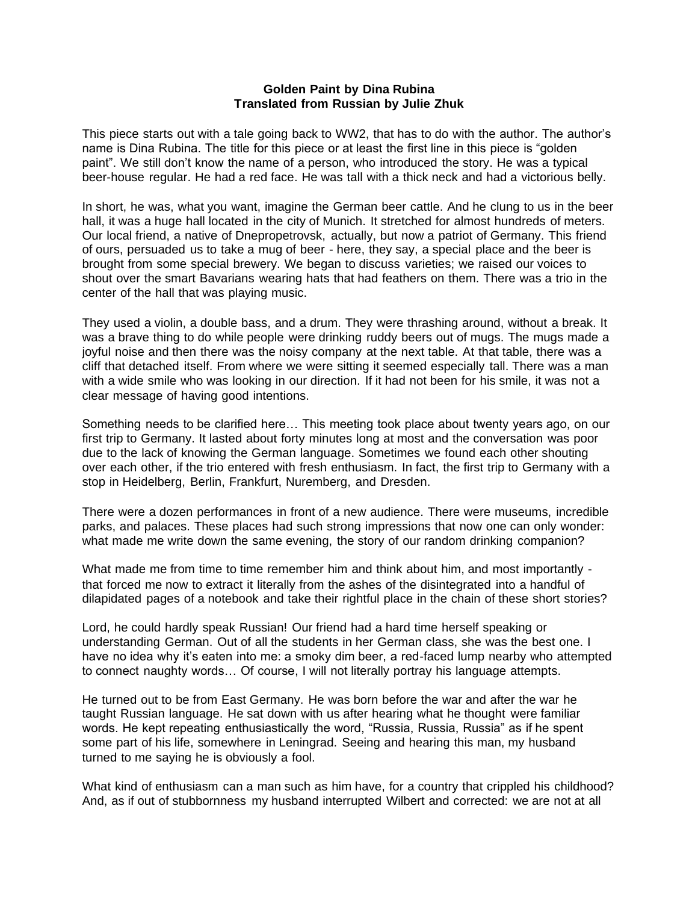## **Golden Paint by Dina Rubina Translated from Russian by Julie Zhuk**

This piece starts out with a tale going back to WW2, that has to do with the author. The author's name is Dina Rubina. The title for this piece or at least the first line in this piece is "golden paint". We still don't know the name of a person, who introduced the story. He was a typical beer-house regular. He had a red face. He was tall with a thick neck and had a victorious belly.

In short, he was, what you want, imagine the German beer cattle. And he clung to us in the beer hall, it was a huge hall located in the city of Munich. It stretched for almost hundreds of meters. Our local friend, a native of Dnepropetrovsk, actually, but now a patriot of Germany. This friend of ours, persuaded us to take a mug of beer - here, they say, a special place and the beer is brought from some special brewery. We began to discuss varieties; we raised our voices to shout over the smart Bavarians wearing hats that had feathers on them. There was a trio in the center of the hall that was playing music.

They used a violin, a double bass, and a drum. They were thrashing around, without a break. It was a brave thing to do while people were drinking ruddy beers out of mugs. The mugs made a joyful noise and then there was the noisy company at the next table. At that table, there was a cliff that detached itself. From where we were sitting it seemed especially tall. There was a man with a wide smile who was looking in our direction. If it had not been for his smile, it was not a clear message of having good intentions.

Something needs to be clarified here… This meeting took place about twenty years ago, on our first trip to Germany. It lasted about forty minutes long at most and the conversation was poor due to the lack of knowing the German language. Sometimes we found each other shouting over each other, if the trio entered with fresh enthusiasm. In fact, the first trip to Germany with a stop in Heidelberg, Berlin, Frankfurt, Nuremberg, and Dresden.

There were a dozen performances in front of a new audience. There were museums, incredible parks, and palaces. These places had such strong impressions that now one can only wonder: what made me write down the same evening, the story of our random drinking companion?

What made me from time to time remember him and think about him, and most importantly that forced me now to extract it literally from the ashes of the disintegrated into a handful of dilapidated pages of a notebook and take their rightful place in the chain of these short stories?

Lord, he could hardly speak Russian! Our friend had a hard time herself speaking or understanding German. Out of all the students in her German class, she was the best one. I have no idea why it's eaten into me: a smoky dim beer, a red-faced lump nearby who attempted to connect naughty words… Of course, I will not literally portray his language attempts.

He turned out to be from East Germany. He was born before the war and after the war he taught Russian language. He sat down with us after hearing what he thought were familiar words. He kept repeating enthusiastically the word, "Russia, Russia, Russia" as if he spent some part of his life, somewhere in Leningrad. Seeing and hearing this man, my husband turned to me saying he is obviously a fool.

What kind of enthusiasm can a man such as him have, for a country that crippled his childhood? And, as if out of stubbornness my husband interrupted Wilbert and corrected: we are not at all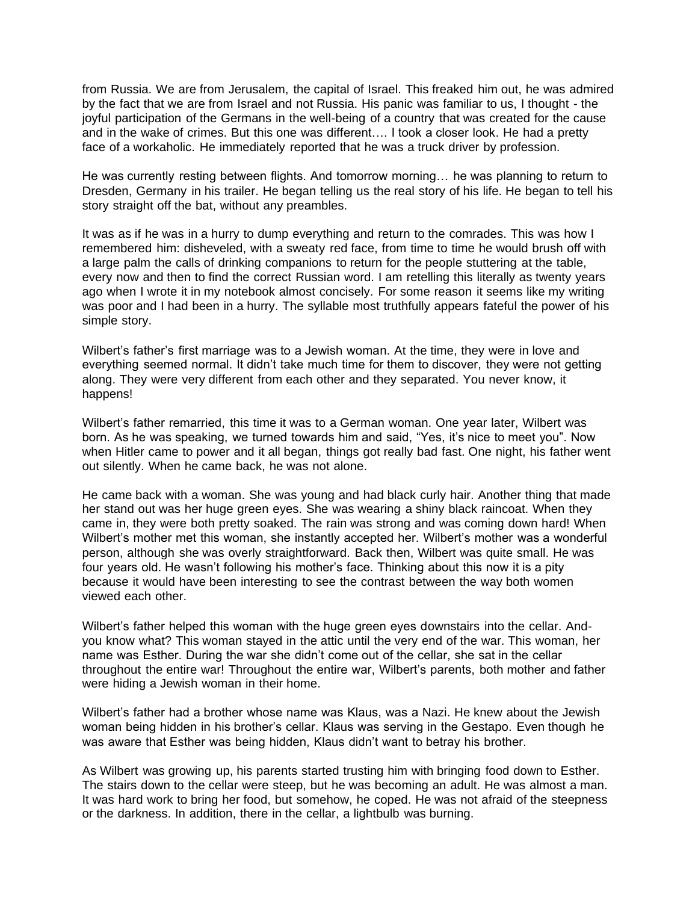from Russia. We are from Jerusalem, the capital of Israel. This freaked him out, he was admired by the fact that we are from Israel and not Russia. His panic was familiar to us, I thought - the joyful participation of the Germans in the well-being of a country that was created for the cause and in the wake of crimes. But this one was different…. I took a closer look. He had a pretty face of a workaholic. He immediately reported that he was a truck driver by profession.

He was currently resting between flights. And tomorrow morning… he was planning to return to Dresden, Germany in his trailer. He began telling us the real story of his life. He began to tell his story straight off the bat, without any preambles.

It was as if he was in a hurry to dump everything and return to the comrades. This was how I remembered him: disheveled, with a sweaty red face, from time to time he would brush off with a large palm the calls of drinking companions to return for the people stuttering at the table, every now and then to find the correct Russian word. I am retelling this literally as twenty years ago when I wrote it in my notebook almost concisely. For some reason it seems like my writing was poor and I had been in a hurry. The syllable most truthfully appears fateful the power of his simple story.

Wilbert's father's first marriage was to a Jewish woman. At the time, they were in love and everything seemed normal. It didn't take much time for them to discover, they were not getting along. They were very different from each other and they separated. You never know, it happens!

Wilbert's father remarried, this time it was to a German woman. One year later, Wilbert was born. As he was speaking, we turned towards him and said, "Yes, it's nice to meet you". Now when Hitler came to power and it all began, things got really bad fast. One night, his father went out silently. When he came back, he was not alone.

He came back with a woman. She was young and had black curly hair. Another thing that made her stand out was her huge green eyes. She was wearing a shiny black raincoat. When they came in, they were both pretty soaked. The rain was strong and was coming down hard! When Wilbert's mother met this woman, she instantly accepted her. Wilbert's mother was a wonderful person, although she was overly straightforward. Back then, Wilbert was quite small. He was four years old. He wasn't following his mother's face. Thinking about this now it is a pity because it would have been interesting to see the contrast between the way both women viewed each other.

Wilbert's father helped this woman with the huge green eyes downstairs into the cellar. Andyou know what? This woman stayed in the attic until the very end of the war. This woman, her name was Esther. During the war she didn't come out of the cellar, she sat in the cellar throughout the entire war! Throughout the entire war, Wilbert's parents, both mother and father were hiding a Jewish woman in their home.

Wilbert's father had a brother whose name was Klaus, was a Nazi. He knew about the Jewish woman being hidden in his brother's cellar. Klaus was serving in the Gestapo. Even though he was aware that Esther was being hidden, Klaus didn't want to betray his brother.

As Wilbert was growing up, his parents started trusting him with bringing food down to Esther. The stairs down to the cellar were steep, but he was becoming an adult. He was almost a man. It was hard work to bring her food, but somehow, he coped. He was not afraid of the steepness or the darkness. In addition, there in the cellar, a lightbulb was burning.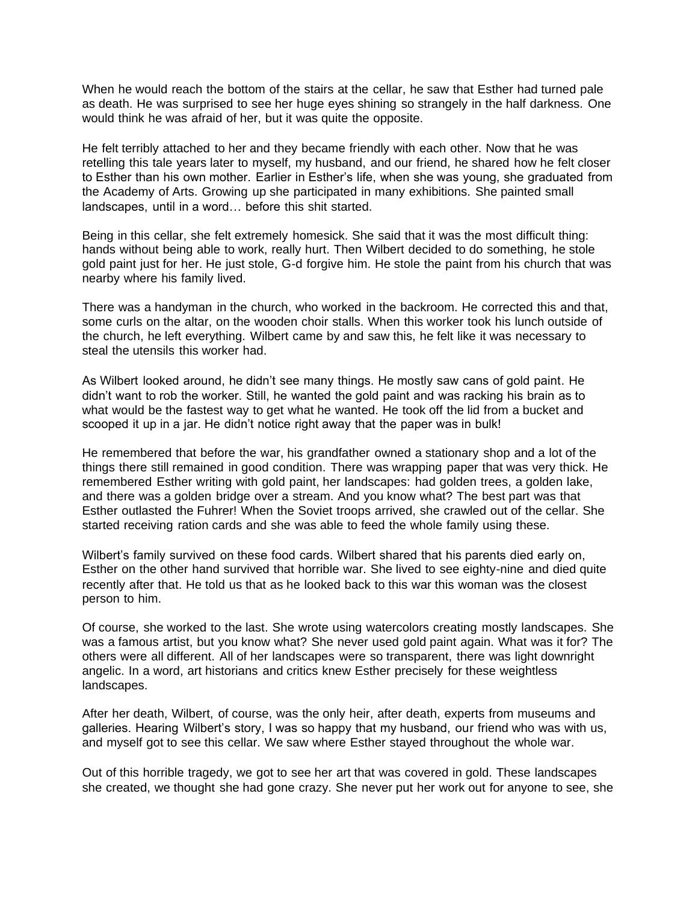When he would reach the bottom of the stairs at the cellar, he saw that Esther had turned pale as death. He was surprised to see her huge eyes shining so strangely in the half darkness. One would think he was afraid of her, but it was quite the opposite.

He felt terribly attached to her and they became friendly with each other. Now that he was retelling this tale years later to myself, my husband, and our friend, he shared how he felt closer to Esther than his own mother. Earlier in Esther's life, when she was young, she graduated from the Academy of Arts. Growing up she participated in many exhibitions. She painted small landscapes, until in a word… before this shit started.

Being in this cellar, she felt extremely homesick. She said that it was the most difficult thing: hands without being able to work, really hurt. Then Wilbert decided to do something, he stole gold paint just for her. He just stole, G-d forgive him. He stole the paint from his church that was nearby where his family lived.

There was a handyman in the church, who worked in the backroom. He corrected this and that, some curls on the altar, on the wooden choir stalls. When this worker took his lunch outside of the church, he left everything. Wilbert came by and saw this, he felt like it was necessary to steal the utensils this worker had.

As Wilbert looked around, he didn't see many things. He mostly saw cans of gold paint. He didn't want to rob the worker. Still, he wanted the gold paint and was racking his brain as to what would be the fastest way to get what he wanted. He took off the lid from a bucket and scooped it up in a jar. He didn't notice right away that the paper was in bulk!

He remembered that before the war, his grandfather owned a stationary shop and a lot of the things there still remained in good condition. There was wrapping paper that was very thick. He remembered Esther writing with gold paint, her landscapes: had golden trees, a golden lake, and there was a golden bridge over a stream. And you know what? The best part was that Esther outlasted the Fuhrer! When the Soviet troops arrived, she crawled out of the cellar. She started receiving ration cards and she was able to feed the whole family using these.

Wilbert's family survived on these food cards. Wilbert shared that his parents died early on, Esther on the other hand survived that horrible war. She lived to see eighty-nine and died quite recently after that. He told us that as he looked back to this war this woman was the closest person to him.

Of course, she worked to the last. She wrote using watercolors creating mostly landscapes. She was a famous artist, but you know what? She never used gold paint again. What was it for? The others were all different. All of her landscapes were so transparent, there was light downright angelic. In a word, art historians and critics knew Esther precisely for these weightless landscapes.

After her death, Wilbert, of course, was the only heir, after death, experts from museums and galleries. Hearing Wilbert's story, I was so happy that my husband, our friend who was with us, and myself got to see this cellar. We saw where Esther stayed throughout the whole war.

Out of this horrible tragedy, we got to see her art that was covered in gold. These landscapes she created, we thought she had gone crazy. She never put her work out for anyone to see, she